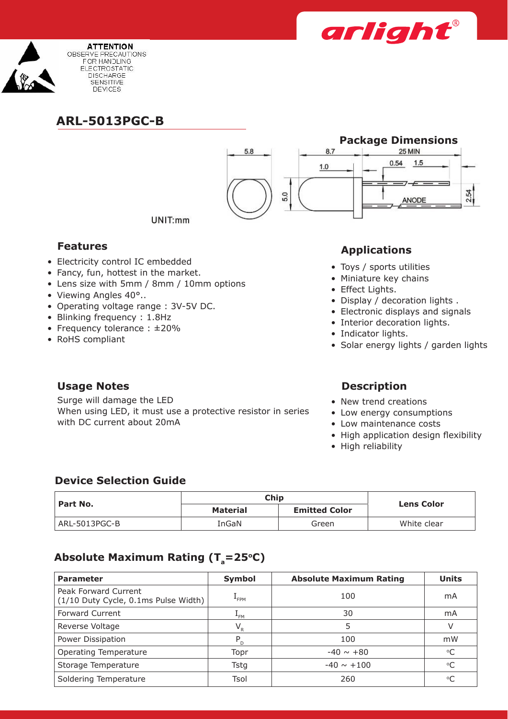



**ARL-5013PGC-B**



UNIT:mm

- Electricity control IC embedded
- Fancy, fun, hottest in the market.
- Lens size with 5mm / 8mm / 10mm options
- Viewing Angles 40°..
- • Operating voltage range : 3V-5V DC.
- Blinking frequency : 1.8Hz
- Frequency tolerance : ±20%
- RoHS compliant

# **Features Applications**

- Toys / sports utilities
- • Miniature key chains
- Effect Lights.
- Display / decoration lights .
- Electronic displays and signals
- Interior decoration lights.
- Indicator lights.
- Solar energy lights / garden lights

## **Usage Notes Description**

Surge will damage the LED When using LED, it must use a protective resistor in series with DC current about 20mA

- New trend creations
- Low energy consumptions
- Low maintenance costs
- High application design flexibility
- High reliability

### **Device Selection Guide**

| ' Part No.    | Chip            |                      |                   |
|---------------|-----------------|----------------------|-------------------|
|               | <b>Material</b> | <b>Emitted Color</b> | <b>Lens Color</b> |
| ARL-5013PGC-B | InGaN           | Green                | White clear       |

# Absolute Maximum Rating (T<sub>a</sub>=25°C)

| <b>Parameter</b>                                             | Symbol           | <b>Absolute Maximum Rating</b> | <b>Units</b> |
|--------------------------------------------------------------|------------------|--------------------------------|--------------|
| Peak Forward Current<br>(1/10 Duty Cycle, 0.1ms Pulse Width) | <sup>*</sup> FPM | 100                            | mA           |
| <b>Forward Current</b>                                       | $L_{FM}$         | 30                             | mA           |
| Reverse Voltage                                              | $V_{R}$          | 5                              | V            |
| Power Dissipation                                            | $P_{D}$          | 100                            | mW           |
| Operating Temperature                                        | Topr             | $-40 \sim +80$                 | $^{\circ}C$  |
| Storage Temperature                                          | <b>Tstg</b>      | $-40 \sim +100$                | $^{\circ}C$  |
| Soldering Temperature                                        | Tsol             | 260                            | $\circ$ C    |